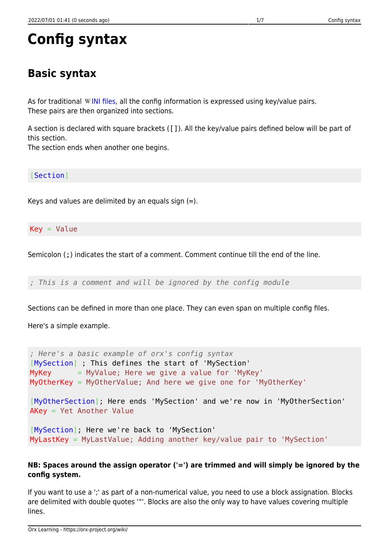# **Basic syntax**

As for traditional WINI files, all the config information is expressed using key/value pairs. These pairs are then organized into sections.

A section is declared with square brackets ([]). All the key/value pairs defined below will be part of this section.

The section ends when another one begins.

[Section]

Keys and values are delimited by an equals sign (=).

 $Key = Value$ 

Semicolon (;) indicates the start of a comment. Comment continue till the end of the line.

*; This is a comment and will be ignored by the config module*

Sections can be defined in more than one place. They can even span on multiple config files.

Here's a simple example.

```
; Here's a basic example of orx's config syntax
[MySection] ; This defines the start of 'MySection'
MyKey = MyValue; Here we give a value for 'MyKey'
MyOtherKey = MyOtherValue; And here we give one for 'MyOtherKey'
[MyOtherSection]; Here ends 'MySection' and we're now in 'MyOtherSection'
AKey = Yet Another Value
[MySection]; Here we're back to 'MySection'
MyLastKey = MyLastValue; Adding another key/value pair to 'MySection'
```
#### **NB: Spaces around the assign operator ('=') are trimmed and will simply be ignored by the config system.**

If you want to use a ';' as part of a non-numerical value, you need to use a block assignation. Blocks are delimited with double quotes '"'. Blocks are also the only way to have values covering multiple lines.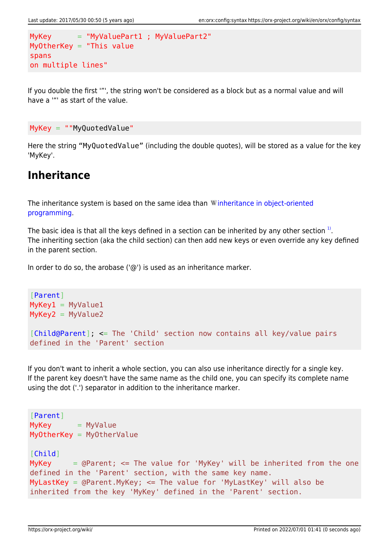```
MyKey = "MyValuePart1 ; MyValuePart2"
MyOtherKey = "This value
spans
on multiple lines"
```
If you double the first '"', the string won't be considered as a block but as a normal value and will have a '"' as start of the value.

```
MyKey = ""MyQuotedValue"
```
Here the string "MyQuotedValue" (including the double quotes), will be stored as a value for the key 'MyKey'.

### **Inheritance**

The inheritance system is based on the same idea than Winheritance in object-oriented [programming.](https://en.wikipedia.org/wiki/Inheritance_(computer_science))

The basic idea is that all the keys defined in a section can be inherited by any other section  $^{1)}$  $^{1)}$  $^{1)}$ . The inheriting section (aka the child section) can then add new keys or even override any key defined in the parent section.

In order to do so, the arobase  $(\omega)$  is used as an inheritance marker.

```
[Parent]
MyKey1 = MyValue1MyKey2 = MyValue2[Child@Parent]; <= The 'Child' section now contains all key/value pairs
defined in the 'Parent' section
```
If you don't want to inherit a whole section, you can also use inheritance directly for a single key. If the parent key doesn't have the same name as the child one, you can specify its complete name using the dot ('.') separator in addition to the inheritance marker.

```
[Parent]
MyKey = MyValueMyOtherKey = MyOtherValue
[Child]
MyKey = @Parent; \le The value for 'MyKey' will be inherited from the one
defined in the 'Parent' section, with the same key name.
MyLastKey = @Parent.MyKey; <= The value for 'MyLastKey' will also be
inherited from the key 'MyKey' defined in the 'Parent' section.
```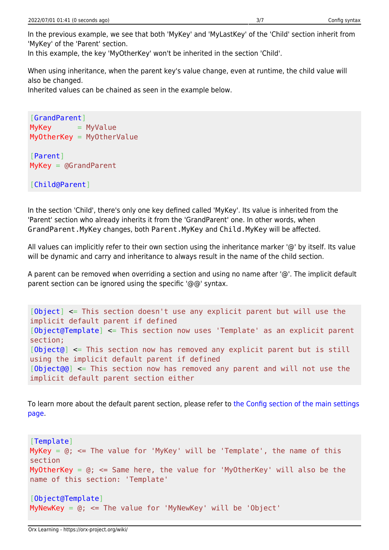In the previous example, we see that both 'MyKey' and 'MyLastKey' of the 'Child' section inherit from 'MyKey' of the 'Parent' section.

In this example, the key 'MyOtherKey' won't be inherited in the section 'Child'.

When using inheritance, when the parent key's value change, even at runtime, the child value will also be changed.

Inherited values can be chained as seen in the example below.

```
[GrandParent]
MyKey = MyValueMyOtherKey = MyOtherValue
[Parent]
MyKey = @GrandParent
[Child@Parent]
```
In the section 'Child', there's only one key defined called 'MyKey'. Its value is inherited from the 'Parent' section who already inherits it from the 'GrandParent' one. In other words, when GrandParent.MyKey changes, both Parent.MyKey and Child.MyKey will be affected.

All values can implicitly refer to their own section using the inheritance marker '@' by itself. Its value will be dynamic and carry and inheritance to always result in the name of the child section.

A parent can be removed when overriding a section and using no name after '@'. The implicit default parent section can be ignored using the specific '@@' syntax.

```
[Object] <= This section doesn't use any explicit parent but will use the
implicit default parent if defined
[Object@Template] <= This section now uses 'Template' as an explicit parent
section;
[Object@] <= This section now has removed any explicit parent but is still
using the implicit default parent if defined
[Object@@] <= This section now has removed any parent and will not use the
implicit default parent section either
```
To learn more about the default parent section, please refer to [the Config section of the main settings](https://orx-project.org/wiki/en/orx/config/settings_main/main#config_module) [page](https://orx-project.org/wiki/en/orx/config/settings_main/main#config_module).

```
[Template]
MyKey = @; \leq The value for 'MyKey' will be 'Template', the name of this
section
MyOtherKey = @; \leq Same here, the value for 'MyOtherKey' will also be the
name of this section: 'Template'
[Object@Template]
MyNewKey = @; == The value for 'MyNewKey' will be 'Object'
```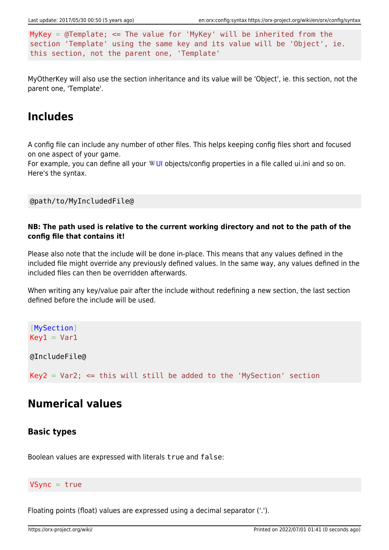MyKey =  $\theta$ Template; <= The value for 'MyKey' will be inherited from the section 'Template' using the same key and its value will be 'Object', ie. this section, not the parent one, 'Template'

MyOtherKey will also use the section inheritance and its value will be 'Object', ie. this section, not the parent one, 'Template'.

### **Includes**

A config file can include any number of other files. This helps keeping config files short and focused on one aspect of your game.

For example, you can define all your WUI objects/config properties in a file called ui.ini and so on. Here's the syntax.

@path/to/MyIncludedFile@

#### **NB: The path used is relative to the current working directory and not to the path of the config file that contains it!**

Please also note that the include will be done in-place. This means that any values defined in the included file might override any previously defined values. In the same way, any values defined in the included files can then be overridden afterwards.

When writing any key/value pair after the include without redefining a new section, the last section defined before the include will be used.

[MySection]  $Key1 = Var1$ 

@IncludeFile@

 $Key2 = Var2$ ;  $\le$  this will still be added to the 'MySection' section

### **Numerical values**

### **Basic types**

Boolean values are expressed with literals true and false:

#### $V$ Sync = true

Floating points (float) values are expressed using a decimal separator ('.').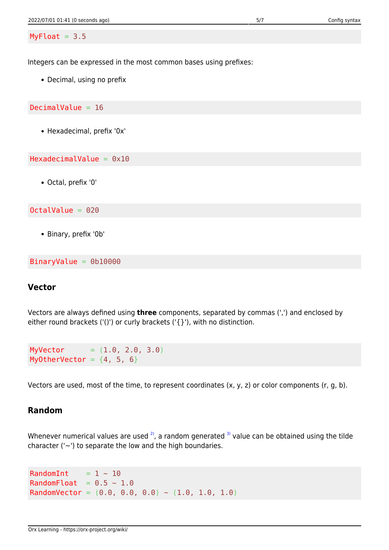Integers can be expressed in the most common bases using prefixes:

• Decimal, using no prefix

DecimalValue  $= 16$ 

Hexadecimal, prefix '0x'

HexadecimalValue =  $0x10$ 

Octal, prefix '0'

OctalValue = 020

Binary, prefix '0b'

BinaryValue = 0b10000

### **Vector**

Vectors are always defined using **three** components, separated by commas (',') and enclosed by either round brackets ('()') or curly brackets (' $\{$ }'), with no distinction.

 $MyVector = (1.0, 2.0, 3.0)$ MyOtherVector =  $\{4, 5, 6\}$ 

Vectors are used, most of the time, to represent coordinates (x, y, z) or color components (r, g, b).

#### **Random**

Whenever numerical values are used  $2$ , a random generated  $3$ ) value can be obtained using the tilde character ( $\sim$ ) to separate the low and the high boundaries.

RandomInt  $= 1 \sim 10$ RandomFloat =  $0.5 \sim 1.0$ RandomVector =  $(0.0, 0.0, 0.0)$  ~  $(1.0, 1.0, 1.0)$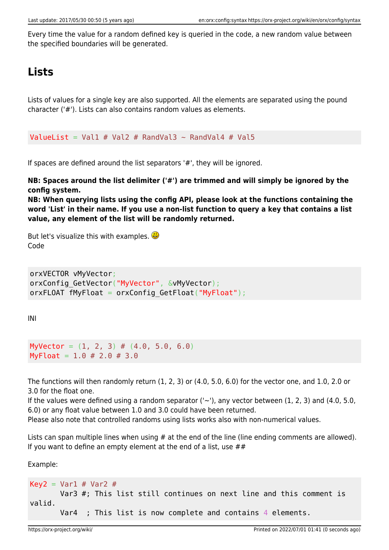Every time the value for a random defined key is queried in the code, a new random value between the specified boundaries will be generated.

## **Lists**

Lists of values for a single key are also supported. All the elements are separated using the pound character ('#'). Lists can also contains random values as elements.

ValueList = Val1 # Val2 # RandVal3  $\sim$  RandVal4 # Val5

If spaces are defined around the list separators '#', they will be ignored.

**NB: Spaces around the list delimiter ('#') are trimmed and will simply be ignored by the config system.**

**NB: When querying lists using the config API, please look at the functions containing the word 'List' in their name. If you use a non-list function to query a key that contains a list value, any element of the list will be randomly returned.**

But let's visualize this with examples.  $\bigoplus$ Code

```
orxVECTOR vMyVector;
orxConfig GetVector("MyVector", &vMyVector);
orxFLOAT fMyFloat = orxConfig GetFloat("MyFloat");
```
INI

```
MyVector = (1, 2, 3) # (4.0, 5.0, 6.0)MyFloat = 1.0 \# 2.0 \# 3.0
```
The functions will then randomly return (1, 2, 3) or (4.0, 5.0, 6.0) for the vector one, and 1.0, 2.0 or 3.0 for the float one.

If the values were defined using a random separator  $('~)$ , any vector between  $(1, 2, 3)$  and  $(4.0, 5.0, 1)$ 6.0) or any float value between 1.0 and 3.0 could have been returned.

Please also note that controlled randoms using lists works also with non-numerical values.

Lists can span multiple lines when using # at the end of the line (line ending comments are allowed). If you want to define an empty element at the end of a list, use  $\#$ 

Example:

```
Key2 = Var1 # Var2 # Var3 #; This list still continues on next line and this comment is
valid.
       Var4 ; This list is now complete and contains 4 elements.
```